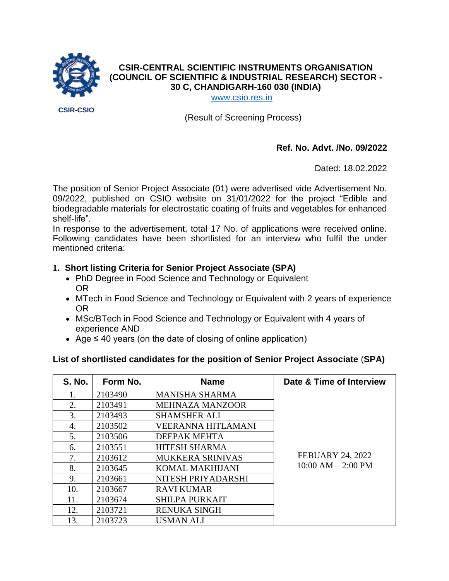

# **CSIR-CENTRAL SCIENTIFIC INSTRUMENTS ORGANISATION (COUNCIL OF SCIENTIFIC & INDUSTRIAL RESEARCH) SECTOR - 30 C, CHANDIGARH-160 030 (INDIA)**

[www.csio.res.in](http://www.csio.res.in/)

(Result of Screening Process)

### **Ref. No. Advt. /No. 09/2022**

Dated: 18.02.2022

The position of Senior Project Associate (01) were advertised vide Advertisement No. 09/2022, published on CSIO website on 31/01/2022 for the project "Edible and biodegradable materials for electrostatic coating of fruits and vegetables for enhanced shelf-life".

In response to the advertisement, total 17 No. of applications were received online. Following candidates have been shortlisted for an interview who fulfil the under mentioned criteria:

## **1. Short listing Criteria for Senior Project Associate (SPA)**

- PhD Degree in Food Science and Technology or Equivalent OR
- MTech in Food Science and Technology or Equivalent with 2 years of experience OR
- MSc/BTech in Food Science and Technology or Equivalent with 4 years of experience AND
- Age ≤ 40 years (on the date of closing of online application)

### **List of shortlisted candidates for the position of Senior Project Associate** (**SPA)**

| <b>S. No.</b> | Form No. | <b>Name</b>               | Date & Time of Interview                        |
|---------------|----------|---------------------------|-------------------------------------------------|
| 1.            | 2103490  | <b>MANISHA SHARMA</b>     |                                                 |
| 2.            | 2103491  | <b>MEHNAZA MANZOOR</b>    |                                                 |
| 3.            | 2103493  | <b>SHAMSHER ALI</b>       |                                                 |
| 4.            | 2103502  | <b>VEERANNA HITLAMANI</b> | <b>FEBUARY 24, 2022</b><br>$10:00 AM - 2:00 PM$ |
| 5.            | 2103506  | DEEPAK MEHTA              |                                                 |
| 6.            | 2103551  | <b>HITESH SHARMA</b>      |                                                 |
| 7.            | 2103612  | <b>MUKKERA SRINIVAS</b>   |                                                 |
| 8.            | 2103645  | <b>KOMAL MAKHIJANI</b>    |                                                 |
| 9.            | 2103661  | NITESH PRIYADARSHI        |                                                 |
| 10.           | 2103667  | <b>RAVI KUMAR</b>         |                                                 |
| 11.           | 2103674  | <b>SHILPA PURKAIT</b>     |                                                 |
| 12.           | 2103721  | <b>RENUKA SINGH</b>       |                                                 |
| 13.           | 2103723  | <b>USMAN ALI</b>          |                                                 |

**CSIR-CSIO**